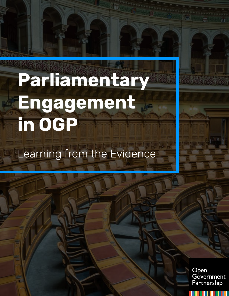# **Parliamentary Engagement in OGP**

## Learning from the Evidence

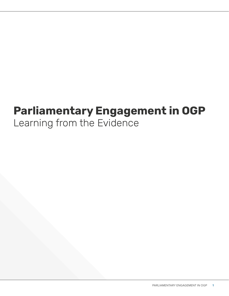### **Parliamentary Engagement in OGP**  Learning from the Evidence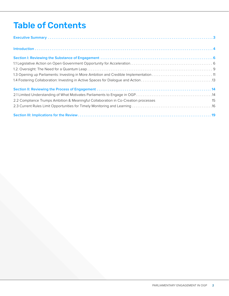### Table of Contents

| 2.2 Compliance Trumps Ambition & Meaningful Collaboration in Co-Creation processes<br>$\sim$ 15 |  |
|-------------------------------------------------------------------------------------------------|--|
|                                                                                                 |  |
|                                                                                                 |  |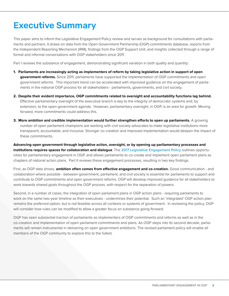### <span id="page-3-0"></span>Executive Summary

This paper aims to inform the Legislative Engagement Policy review and serves as background for consultations with parliaments and partners. It draws on data from the Open Government Partnership (OGP) commitments database, reports from the Independent Reporting Mechanism (IRM), findings from the OGP Support Unit, and insights collected through a range of formal and informal conversations with OGP stakeholders since 2011.

Part I reviews the substance of engagement, demonstrating significant variation in both quality and quantity:

- **1. Parliaments are increasingly acting as implementers of reform by taking legislative action in support of open government reforms.** Since 2011, parliaments have supported the implementation of OGP commitments and open government reforms. This important trend can be accelerated with improved guidance on the engagement of parliaments in the national OGP process for all stakeholders - parliaments, governments, and civil society.
- **2. Despite their evident importance, OGP commitments related to oversight and accountability functions lag behind.**  Effective parliamentary oversight of the executive branch is key to the integrity of democratic systems and, by extension, to the open government agenda. However, parliamentary oversight, in OGP, is an area for growth. Moving forward, more commitments could address this.
- **3. More ambition and credible implementation would further strengthen efforts to open up parliaments.** A growing number of open parliament champions are working with civil society advocates to make legislative institutions more transparent, accountable, and inclusive. Stronger co-creation and improved implementation would deepen the impact of these commitments.

**Advancing open government through legislative action, oversight, or by opening up parliamentary processes and institutions requires spaces for collaboration and dialogue**. The [2017 Legislative Engagement Policy](https://www.opengovpartnership.org/resources/parliamentary-engagement-policy-guidance-2017) outlines opportunities for parliamentary engagement in OGP, and allows parliaments to co-create and implement open parliament plans as chapters of national action plans. Part II reviews these engagement processes, resulting in two key findings.

First, as OGP data shows, **ambition often comes from effective engagement and co-creation.** Good communication - and collaboration where possible - between government, parliament, and civil society is essential for parliaments to support and contribute to OGP commitments and open government reforms. OGP will develop improved guidance for all stakeholders to work towards shared goals throughout the OGP process, with respect for the separation of powers.

Second, in a number of cases, the integration of open parliament plans in OGP action plans - requiring parliaments to work on the same two-year timeline as their executives - undermines their potential. Such an 'integrated' OGP action plan remains the preferred option, but is not feasible across all contexts or systems of government. In reviewing the policy, OGP will consider how rules can be modified to allow a greater focus on substance going forward.

OGP has seen substantial traction of parliaments as implementers of OGP commitments and reforms as well as in the co-creation and implementation of open parliament commitments and plans. As OGP steps into its second decade, parliaments will remain instrumental in delivering on open government ambitions. The revised parliament policy will enable all members of the OGP community to explore this to the fullest.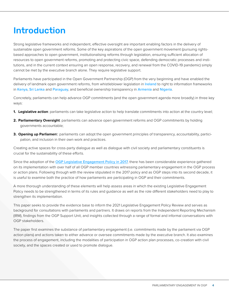### <span id="page-4-0"></span>Introduction

Strong legislative frameworks and independent, effective oversight are important enabling factors in the delivery of sustainable open government reforms. Some of the key aspirations of the open government movement (pursuing rightsbased approaches to open government, institutionalising reforms through legislation, ensuring sufficient allocation of resources to open government reforms, promoting and protecting civic space, defending democratic processes and institutions, and in the current context ensuring an open response, recovery, and renewal from the COVID-19 pandemic) simply cannot be met by the executive branch alone. They require legislative support.

Parliaments have participated in the Open Government Partnership (OGP) from the very beginning and have enabled the delivery of landmark open government reforms, from whistleblower legislation in Ireland to right to information frameworks in Kenya, Sri Lanka and Paraguay, and beneficial ownership transparency in Armenia and Nigeria.

Concretely, parliaments can help advance OGP commitments (and the open government agenda more broadly) in three key ways:

- **1. Legislative action**: parliaments can take legislative action to help translate commitments into action at the country level;
- **2. Parliamentary Oversight**: parliaments can advance open government reforms and OGP commitments by holding governments accountable;
- **3. Opening up Parliamen**t: parliaments can adopt the open government principles of transparency, accountability, participation, and inclusion in their own work and practices.

Creating active spaces for cross-party dialogue as well as dialogue with civil society and parliamentary constituents is crucial for the sustainability of these efforts.

Since the adoption of the [OGP Legislative Engagement Policy in 2017](https://www.opengovpartnership.org/resources/parliamentary-engagement-policy-guidance-2017), there has been considerable experience gathered on its implementation with over half of all OGP member countries witnessing parliamentary engagement in the OGP process or action plans. Following through with the review stipulated in the 2017 policy and as OGP steps into its second decade, it is useful to examine both the practice of how parliaments are participating in OGP and their commitments.

A more thorough understanding of these elements will help assess areas in which the existing Legislative Engagement Policy needs to be strengthened in terms of its rules and guidance as well as the role different stakeholders need to play to strengthen its implementation.

This paper seeks to provide the evidence base to inform the 2021 Legislative Engagement Policy Review and serves as background for consultations with parliaments and partners. It draws on reports from the Independent Reporting Mechanism (IRM), findings from the OGP Support Unit, and insights collected through a range of formal and informal conversations with OGP stakeholders.

The paper first examines the substance of parliamentary engagement (i.e. commitments made by the parliament via OGP action plans) and actions taken to either advance or oversee commitments made by the executive branch. It also examines the process of engagement, including the modalities of participation in OGP action plan processes, co-creation with civil society, and the spaces created or used to promote dialogue.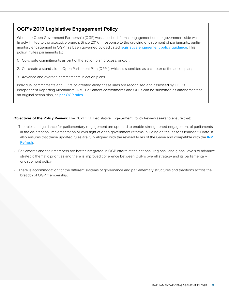#### **OGP's 2017 Legislative Engagement Policy**

When the Open Government Partnership (OGP) was launched, formal engagement on the government side was largely limited to the executive branch. Since 2017, in response to the growing engagement of parliaments, parliamentary engagement in OGP has been governed by dedicated [legislative engagement policy guidance](https://www.opengovpartnership.org/resources/parliamentary-engagement-policy-guidance-2017). This policy invites parliaments to:

- 1. Co-create commitments as part of the action plan process, and/or;
- 2. Co-create a stand-alone Open Parliament Plan (OPPs), which is submitted as a chapter of the action plan;
- 3. Advance and oversee commitments in action plans.

Individual commitments and OPPs co-created along these lines are recognised and assessed by OGP's Independent Reporting Mechanism (IRM). Parliament commitments and OPPs can be submitted as amendments to an original action plan, as [per OGP rules](https://www.opengovpartnership.org/documents/ogp-national-handbook/).

**Objectives of the Policy Review**: The 2021 OGP Legislative Engagement Policy Review seeks to ensure that:

- The rules and guidance for parliamentary engagement are updated to enable strengthened engagement of parliaments in the co-creation, implementation or oversight of open government reforms, building on the lessons learned till date. It also ensures that these updated rules are fully aligned with the revised Rules of the Game and compatible with the IRM [Refresh](https://www.opengovpartnership.org/process/accountability/about-the-irm/irm-refresh/).
- Parliaments and their members are better integrated in OGP efforts at the national, regional, and global levels to advance strategic thematic priorities and there is improved coherence between OGP's overall strategy and its parliamentary engagement policy.
- There is accommodation for the different systems of governance and parliamentary structures and traditions across the breadth of OGP membership.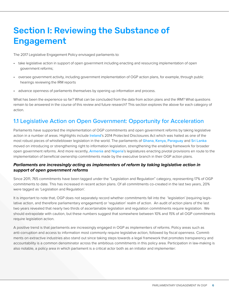### <span id="page-6-0"></span>Section I: Reviewing the Substance of Engagement

The 2017 Legislative Engagement Policy envisaged parliaments to:

- take legislative action in support of open government including enacting and resourcing implementation of open government reforms;
- oversee government activity, including government implementation of OGP action plans, for example, through public hearings reviewing the IRM reports
- advance openness of parliaments themselves by opening up information and process.

What has been the experience so far? What can be concluded from the data from action plans and the IRM? What questions remain to be answered in the course of this review and future research? This section explores the above for each category of action.

#### 1.1 Legislative Action on Open Government: Opportunity for Acceleration

Parliaments have supported the implementation of OGP commitments and open government reforms by taking legislative action in a number of areas. Highlights include [Ireland](https://www.opengovpartnership.org/members/ireland/commitments/IE0015/)'s 2014 Protected Disclosures Act which was hailed as one of the most robust pieces of whistleblower legislation in the world. The parliaments of [Ghana](https://www.opengovpartnership.org/members/ghana/), [Kenya](https://www.opengovpartnership.org/members/kenya/commitments/KE0017/), [Paraguay](https://www.opengovpartnership.org/members/paraguay/commitments/PY0016/) and [Sri Lanka](https://www.opengovpartnership.org/members/sri-lanka/commitments/LK0022/) moved on introducing or strengthening right to information legislation, strengthening the enabling framework for broader open government reforms. And more recently, [Armenia](https://www.opengovpartnership.org/members/armenia/commitments/AM0037/) and [Nigeria](https://www.opengovpartnership.org/members/nigeria/commitments/NG0020/)'s legislatures enacting pivotal provisions en route to the implementation of beneficial ownership commitments made by the executive branch in their OGP action plans.

#### *Parliaments are increasingly acting as implementers of reform by taking legislative action in support of open government reforms*

Since 2011, 765 commitments have been tagged under the "Legislation and Regulation" category, representing 17% of OGP commitments to date. This has increased in recent action plans. Of all commitments co-created in the last two years, 20% were tagged as 'Legislation and Regulation'.

It is important to note that, OGP does not separately record whether commitments fall into the 'legislation' (requiring legislative action, and therefore parliamentary engagement) or 'regulation' realm of action. An audit of action plans of the last two years revealed that nearly two thirds of ascertainable legislation and regulation commitments require legislation. We should extrapolate with caution, but these numbers suggest that somewhere between 10% and 15% of all OGP commitments require legislation action.

A positive trend is that parliaments are increasingly engaged in OGP as implementers of reforms. Policy areas such as anti-corruption and access to information most commonly require legislative action, followed by fiscal openness. Commitments on extractive industries also stand out since taking steps towards a legal framework that promotes transparency and accountability is a common denominator across the ambitious commitments in this policy area. Participation in law-making is also notable, a policy area in which parliament is a critical actor both as an initiator and implementer: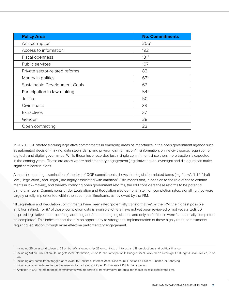<span id="page-7-0"></span>

| <b>Policy Area</b>             | <b>No. Commitments</b> |
|--------------------------------|------------------------|
| Anti-corruption                | 205 <sup>1</sup>       |
| Access to information          | 192                    |
| Fiscal openness                | 131 <sup>2</sup>       |
| Public services                | 107                    |
| Private sector-related reforms | 82                     |
| Money in politics              | $67^{3}$               |
| Sustainable Development Goals  | 67                     |
| Participation in law-making    | 54 <sup>4</sup>        |
| Justice                        | 50                     |
| Civic space                    | 38                     |
| Extractives                    | 37                     |
| Gender                         | 28                     |
| Open contracting               | 23                     |

In 2020, OGP started tracking legislative commitments in emerging areas of importance in the open government agenda such as automated decision-making, data stewardship and privacy, disinformation/misinformation, online civic space, regulation of big tech, and digital governance. While these have recorded just a single commitment since then, more traction is expected in the coming years. These are areas where parliamentary engagement (legislative action, oversight and dialogue) can make significant contributions.

A machine-learning examination of the text of OGP commitments shows that legislation-related terms (e.g. "Law", "bill", "draft law", "legislation", and "legal") are highly associated with ambition<sup>5</sup>. This means that, in addition to the role of these commitments in law-making, and thereby codifying open government reforms, the IRM considers these reforms to be potential game-changers. Commitments under Legislation and Regulation also demonstrate high completion rates, signalling they were largely or fully implemented within the action plan timeframe, as reviewed by the IRM.

111 Legislation and Regulation commitments have been rated 'potentially transformative' by the IRM (the highest possible ambition rating). For 87 of those, completion data is available (others have not yet been reviewed or not yet started). 30 required legislative action (drafting, adopting and/or amending legislation), and only half of those were 'substantially completed' or 'completed'. This indicates that there is an opportunity to strengthen implementation of these highly rated commitments requiring legislation through more effective parliamentary engagement.

<sup>1</sup> Including 25 on asset disclosure, 23 on beneficial ownership, 23 on conflicts of interest and 18 on elections and political finance

<sup>&</sup>lt;sup>2</sup> Including 90 on Publication Of Budget/Fiscal Information, 20 on Public Participation In Budget/Fiscal Policy, 18 on Oversight Of Budget/Fiscal Policies, 31 on tax.

<sup>&</sup>lt;sup>3</sup> Including any commitment tagged as relevant to Conflict of Interest, Asset Disclosure, Elections & Political Finance, or Lobbying

<sup>4</sup> Includes any commitment tagged as relevant to Lobbying OR Open Parliaments + Public Participation

<sup>&</sup>lt;sup>5</sup> Ambition in OGP refers to those commitments with moderate or transformative potential for impact as assessed by the IRM.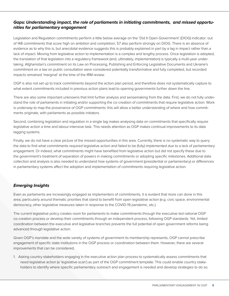#### <span id="page-8-0"></span>*Gaps: Understanding impact, the role of parliaments in initiating commitments, and missed opportunities for parliamentary engagement*

Legislation and Regulation commitments perform a little below average on the 'Did It Open Government' (DIOG) indicator: out of 148 commitments that score high on ambition and completion, 57 also perform strongly on DIOG. There is an absence of evidence as to why this is, but anecdotal evidence suggests this is probably explained in part by a lag in impact rather than a lack of impact. Moving from legislative action to implementation is a complex and lengthy process. Once legislation is adopted, the translation of that legislation into a regulatory framework (and, ultimately, implementation) is typically a multi-year undertaking. Afghanistan's commitment on its Law on Processing, Publishing and Enforcing Legislative Documents and Ukraine's commitment on a law on public consultation were considered potentially transformative and fully completed, but recorded impacts remained 'marginal' at the time of the IRM review.

OGP is also not set up to track commitments beyond the action plan period, and therefore does not systematically capture to what extent commitments included in previous action plans lead to opening governments further down the line.

There are also some important unknowns that limit further analysis and sensemaking from the data. First, we do not fully understand the role of parliaments in initiating and/or supporting the co-creation of commitments that require legislative action. Work is underway to map the provenance of OGP commitments: this will allow a better understanding of where and how commitments originate, with parliaments as possible initiators.

Second, combining legislation and regulation in a single tag makes analysing data on commitments that specifically require legislative action a time and labour-intensive task. This needs attention as OGP makes continual improvements to its data tagging systems.

Finally, we do not have a clear picture of the missed opportunities in this area. Currently, there is no systematic way to query the data to find what commitments required legislative action and failed to be (fully) implemented due to a lack of parliamentary engagement. Or indeed, what commitments might have benefited from legislative action but did not specify these due to the government's treatment of separation of powers in making commitments or adopting specific milestones. Additional data collection and analysis is also needed to understand how systems of government (presidential or parliamentary) or differences in parliamentary systems affect the adoption and implementation of commitments requiring legislative action.

#### *Emerging Insights*

Even as parliaments are increasingly engaged as implementers of commitments, it is evident that more can done in this area, particularly around thematic priorities that stand to benefit from open legislative action (e.g. civic space, environmental democracy, other legislative measures taken in response to the COVID-19 pandemic, etc.).

The current legislative policy creates room for parliaments to make commitments through the executive-led national OGP co-creation process or develop their commitments through an independent process, following OGP standards. Yet, limited coordination between the executive and legislative branches prevents the full potential of open government reforms being advanced through legislative action.

Given OGP's mandate and the wide variety of systems of government its membership represents, OGP cannot prescribe engagement of specific state institutions in the OGP process or coordination between them. However, there are several improvements that can be considered.

1. Asking country stakeholders engaging in the executive action plan process to systematically assess commitments that need legislative action (a 'legislative scan') as part of the OGP commitment template. This could enable country stakeholders to identify where specific parliamentary outreach and engagement is needed and develop strategies to do so.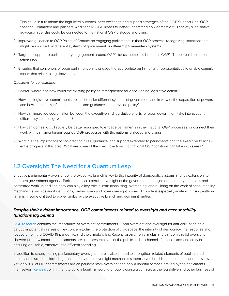This could in turn inform the high-level outreach, peer exchange and support strategies of the OGP Support Unit, OGP Steering Committee and partners. Additionally, OGP needs to better understand how domestic civil society's legislative advocacy agendas could be connected to the national OGP dialogue and plans.

- 2. Improved guidance to OGP Points of Contact on engaging parliaments in their OGP process, recognizing limitations that might be imposed by different systems of government or different parliamentary systems.
- 3. Targeted support to parliamentary engagement around OGP's focus themes as laid out in OGP's Three-Year Implementation Plan.
- 4. Ensuring that convenors of open parliament plans engage the appropriate parliamentary representatives to enable commitments that relate to legislative action.

*Questions for consultation:*

- Overall, where and how could the existing policy be strengthened for encouraging legislative action?
- How can legislative commitments be made under different systems of government and in view of the separation of powers, and how should this influence the rules and guidance in the revised policy?
- How can improved coordination between the executive and legislative efforts for open government take into account different systems of government?
- How can domestic civil society be better equipped to engage parliaments in their national OGP processes, or connect their work with parliamentarians outside OGP processes with the national dialogue and plans?
- What are the implications for co-creation rules, guidance, and support extended to parliaments and the executive to accelerate progress in this area? What are some of the specific actions that national OGP coalitions can take in this area?

#### 1.2 Oversight: The Need for a Quantum Leap

Effective parliamentary oversight of the executive branch is key to the integrity of democratic systems and, by extension, to the open government agenda. Parliaments can exercise oversight of the government through parliamentary questions and committee work. In addition, they can play a key role in institutionalising, overseeing, and building on the work of accountability mechanisms such as audit institutions, ombudsmen and other oversight bodies. This role is especially acute with rising authoritarianism, some of it tied to power grabs by the executive branch and dominant parties.

#### *Despite their evident importance, OGP commitments related to oversight and accountability functions lag behind*

[OGP research](https://www.opengovpartnership.org/stories/dont-let-cash-slip-away-how-to-build-strong-government-oversight-of-stimulus-spending/) confirms the importance of oversight commitments. Fiscal oversight and oversight for anti-corruption hold particular potential in areas of key concern today: the protection of civic space, the integrity of democracy, the response and recovery from the COVID-19 pandemic, and the climate crisis. Recent research on stimulus and pandemic relief oversight showed just how important parliaments are as representatives of the public and as channels for public accountability in ensuring equitable, effective, and efficient spending.

In addition to strengthening parliamentary oversight, there is also a need to strengthen related elements of public participation and disclosure, including transparency of the oversight mechanisms themselves in addition to contents under review. Yet, only 10% of OGP commitments are on parliamentary oversight and only a handful of those are led by the parliaments themselves. [Kenya's](https://www.opengovpartnership.org/members/kenya/commitments/KE0027/) commitment to build a legal framework for public consultation across the legislative and other business of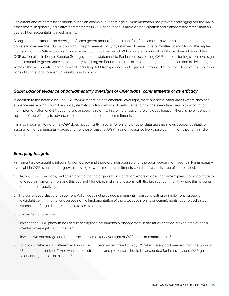Parliament and its committees stands out as an example, but here again, implementation has proven challenging per the IRM's assessment. In general, legislative commitments in OGP tend to focus more on participation and transparency rather than on oversight or accountability mechanisms.

Alongside commitments on oversight of open government reforms, a handful of parliaments have employed their oversight powers to oversee the OGP action plan. The parliaments of Kyrgyzstan and Liberia have committed to monitoring the implementation of the OGP action plan, and several countries have used IRM reports to inquire about the implementation of the OGP action plan. In Kenya, Senator Serargey made a statement to Parliament positioning OGP as a tool for legislative oversight and accountable governance in the country, touching on Parliament's role in implementing the action plan and in delivering on some of the key priorities going forward, including debt transparency and equitable vaccine distribution. However the contributions of such efforts to eventual results is not known.

#### *Gaps: Lack of evidence of parliamentary oversight of OGP plans, commitments or its efficacy*

In addition to the notable lack of OGP commitments on parliamentary oversight, there are some other areas where data and evidence are lacking. OGP does not systematically track efforts of parliaments to hold the executive branch to account on the implementation of OGP action plans or specific reforms. In the instances where this does happen, there is no evidence in support of the efficacy to advance the implementation of the commitments.

It is also important to note that OGP does not currently have an 'oversight' or other data tag that allows deeper qualitative assessment of parliamentary oversight. For these reasons, OGP has not measured how these commitments perform and/or compare to others.

#### *Emerging Insights*

Parliamentary oversight is integral to democracy and therefore indispensable for the open government agenda. Parliamentary oversight in OGP is an area for growth: moving forward, more commitments could address this area of unmet need.

- 1. National OGP coalitions, parliamentary monitoring organisations, and convenors of open parliament plans could do more to engage parliaments in playing this oversight function, and share lessons with the broader community where this is being done more proactively.
- 2. The current Legislative Engagement Policy does not preclude parliaments from co-creating or implementing public oversight commitments, or overseeing the implementation of the executive's plans or commitments, but no dedicated support and/or guidance is in place to facilitate this.

#### *Questions for consultation:*

- How can the OGP platform be used to strengthen parliamentary engagement in the much needed growth area of parliamentary oversight commitments?
- How can we encourage and better track parliamentary oversight of OGP plans or commitments?
- For both, what roles do different actors in the OGP ecosystem need to play? What is the support needed from the Support Unit and other partners? And what actors, structures and processes should be accounted for in any revised OGP guidance to encourage action in this area?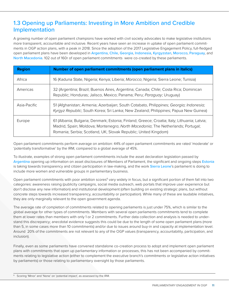#### 1.3 Opening up Parliaments: Investing in More Ambition and Credible Implementation

A growing number of open parliament champions have worked with civil society advocates to make legislative institutions more transparent, accountable and inclusive. Recent years have seen an increase in uptake of open parliament commitments in OGP action plans, with a peak in 2018. Since the adoption of the 2017 Legislative Engagement Policy, full-fledged open parliament plans have been developed in [Argentina](https://www.opengovpartnership.org/members/argentina/), [Chile](https://www.opengovpartnership.org/members/chile/), [Georgia](https://www.opengovpartnership.org/members/georgia/), [Indonesia](https://www.opengovpartnership.org/members/indonesia/), [Kyrgyzstan](https://www.opengovpartnership.org/members/kyrgyz-republic/), [Morocco](https://www.opengovpartnership.org/members/morocco/), [Paraguay](https://www.opengovpartnership.org/members/paraguay/), and [North Macedonia](https://www.opengovpartnership.org/members/north-macedonia/). 102 out of 160r of open parliament commitments were co-created by these parliaments.

| <b>Region</b> | Number of open parliament commitments (open parliament plans in italics)                                                                                                                                                                           |
|---------------|----------------------------------------------------------------------------------------------------------------------------------------------------------------------------------------------------------------------------------------------------|
| Africa        | 16 (Kaduna State, Nigeria; Kenya; Liberia; Morocco; Nigeria; Sierra Leone; Tunisia)                                                                                                                                                                |
| Americas      | 32 (Argentina; Brazil; Buenos Aires, Argentina; Canada; Chile; Costa Rica; Dominican<br>Republic; Honduras; Jalisco, Mexico; Panama; Peru; Paraguay; Uruguay)                                                                                      |
| Asia-Pacific  | 51 (Afghanistan; Armenia; Azerbaijan; South Cotabato, Philippines; Georgia; Indonesia;<br>Kyrgyz Republic; South Korea; Sri Lanka; New Zealand; Philippines; Papua New Guinea)                                                                     |
| Europe        | 61 (Albania; Bulgaria; Denmark; Estonia; Finland; Greece; Croatia; Italy; Lithuania; Latvia;<br>Madrid, Spain; Moldova; Montenegro; North Macedonia; The Netherlands; Portugal;<br>Romania; Serbia; Scotland, UK; Slovak Republic; United Kingdom) |

Open parliament commitments perform average on ambition: 44% of open parliament commitments are rated 'moderate' or 'potentially transformative' by the IRM, compared to a global average of 45%.

To illustrate, examples of strong open parliament commitments include the asset declaration legislation passed by Argentina opening up information on asset disclosures of Members of Parliament, the significant and ongoing steps Estonia is taking towards transparency and citizen participation in law-making, and the work Sierra Leone's parliament is doing to include more women and vulnerable groups in parliamentary business.

Open parliament commitments with poor ambition scores<sup>6</sup> vary widely in focus, but a significant portion of them fall into two categories: awareness raising (publicity campaigns, social media outreach, web portals that improve user experience but don't disclose any new information) and institutional development (often building on existing strategic plans, but without concrete steps towards increased transparency, accountability or participation). While many of these are laudable initiatives, they are only marginally relevant to the open government agenda.

The average rate of completion of commitments related to opening parliaments is just under 75%, which is similar to the global average for other types of commitments. Members with several open parliaments commitments tend to complete them at lower rates than members with only 1 or 2 commitments. Further data collection and analysis is needed to understand this discrepancy; anecdotal evidence suggests this could be due to the length of some open parliament plans (more than 5, in some cases more than 10 commitments) and/or due to issues around buy-in and capacity at implementation level. Around 20% of the commitments are not relevant to any of the OGP values (transparency, accountability, participation, and inclusion).

Finally, even as some parliaments have convened standalone co-creation process to adopt and implement open parliament plans with commitments that open up parliamentary information or processes, this has not been accompanied by commitments relating to legislative action (either to complement the executive branch's commitments or legislative action initiatives by parliaments) or those relating to parliamentary oversight by those parliaments.

<sup>6</sup> Scoring 'Minor' and 'None' on 'potential impact', as assessed by the IRM.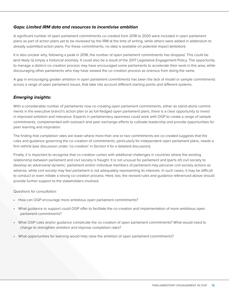#### <span id="page-12-0"></span>*Gaps: Limited IRM data and resources to incentivise ambition*

A significant number of open parliament commitments co-created from 2018 to 2020 were included in open parliament plans as part of action plans yet to be reviewed by the IRM at the time of writing, while others were added in addendum to already submitted action plans. For these commitments, no data is available on potential impact (ambition).

It is also unclear why, following a peak in 2018, the number of open parliament commitments has dropped. This could be (and likely is) simply a historical anomaly. It could also be a result of the 2017 Legislative Engagement Policy. The opportunity to manage a distinct co-creation process may have encouraged some parliaments to accelerate their work in this area, while discouraging other parliaments who may have viewed the co-creation process as onerous from doing the same.

A gap in encouraging greater ambition in open parliament commitments has been the lack of model or sample commitments across a range of open parliament issues, that take into account different starting points and different systems.

#### *Emerging insights:*

With a considerable number of parliaments now co-creating open parliament commitments, either as stand-alone commitments in the executive branch's action plan or as full-fledged open parliament plans, there is a clear opportunity to invest in improved ambition and relevance. Experts in parliamentary openness could work with OGP to create a range of sample commitments, complemented with outreach and peer exchange efforts to cultivate leadership and provide opportunities for peer learning and inspiration.

The finding that completion rates are lower where more than one or two commitments are co-created suggests that the rules and guidance governing the co-creation of commitments, particularly for independent open parliament plans, needs a firm rethink (see discussion under 'co-creation' in Section II for a detailed discussion).

Finally, it is important to recognise that co-creation comes with additional challenges in countries where the existing relationship between parliament and civil society is fraught. It is not unusual for parliament and (parts of) civil society to develop an adversarial dynamic: parliament and/or individual members of parliament may perceive civil society actions as adverse, while civil society may feel parliament is not adequately representing its interests. In such cases, it may be difficult to conduct or even initiate a strong co-creation process. Here, too, the revised rules and guidance referenced above should provide further support to the stakeholders involved.

#### *Questions for consultation:*

- How can OGP encourage more ambitious open parliament commitments?
- What guidance or support could OGP offer to facilitate the co-creation and implementation of more ambitious open parliament commitments?
- What OGP rules and/or guidance complicate the co-creation of open parliament commitments? What would need to change to strengthen ambition and improve completion rates?
- What opportunities for learning would help raise the ambition of open parliament commitments?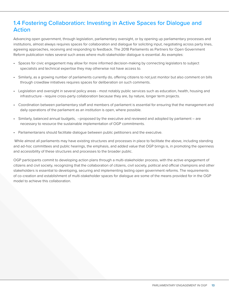#### 1.4 Fostering Collaboration: Investing in Active Spaces for Dialogue and Action

Advancing open government, through legislation, parliamentary oversight, or by opening up parliamentary processes and institutions, almost always requires spaces for collaboration and dialogue for soliciting input, negotiating across party lines, agreeing approaches, receiving and responding to feedback. The 2018 Parliaments as Partners for Open Government Reform publication notes several such areas where multi-stakeholder dialogue is essential. As examples:

- Spaces for civic engagement may allow for more informed decision-making by connecting legislators to subject specialists and technical expertise they may otherwise not have access to.
- Similarly, as a growing number of parliaments currently do, offering citizens to not just monitor but also comment on bills through crowdlaw initiatives requires spaces for deliberation on such comments.
- Legislation and oversight in several policy areas most notably public services such as education, health, housing and infrastructure - require cross-party collaboration because they are, by nature, longer term projects.
- Coordination between parliamentary staff and members of parliament is essential for ensuring that the management and daily operations of the parliament as an institution is open, where possible.
- Similarly, balanced annual budgets, –proposed by the executive and reviewed and adopted by parliament are necessary to resource the sustainable implementation of OGP commitments.
- Parliamentarians should facilitate dialogue between public petitioners and the executive.

While almost all parliaments may have existing structures and processes in place to facilitate the above, including standing and ad-hoc committees and public hearings, the emphasis, and added value that OGP brings is, in promoting the openness and accessibility of these structures and processes to the broader public.

OGP participants commit to developing action plans through a multi-stakeholder process, with the active engagement of citizens and civil society, recognizing that the collaboration of citizens, civil society, political and official champions and other stakeholders is essential to developing, securing and implementing lasting open government reforms. The requirements of co-creation and establishment of multi-stakeholder spaces for dialogue are some of the means provided for in the OGP model to achieve this collaboration.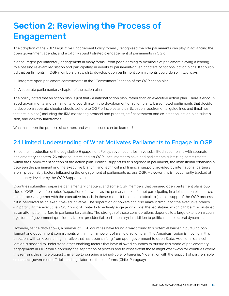### <span id="page-14-0"></span>Section 2: Reviewing the Process of Engagement

The adoption of the 2017 Legislative Engagement Policy formally recognised the role parliaments can play in advancing the open government agenda, and explicitly sought strategic engagement of parliaments in OGP.

It encouraged parliamentary engagement in many forms - from peer learning to members of parliament playing a leading role passing relevant legislation and participating in events to parliament-driven chapters of national action plans. It stipulated that parliaments in OGP members that wish to develop open parliament commitments could do so in two ways:

1. Integrate open parliament commitments in the "Commitment" section of the OGP action plan;

2. A separate parliamentary chapter of the action plan

The policy noted that an action plan is just that - a national action plan, rather than an executive action plan. There it encouraged governments and parliaments to coordinate in the development of action plans. It also noted parliaments that decide to develop a separate chapter should adhere to OGP principles and participation requirements, guidelines and timelines that are in place ) including the IRM monitoring protocol and process, self-assessment and co-creation, action plan submission, and delivery timeframes.

What has been the practice since then, and what lessons can be learned?

#### 2.1 Limited Understanding of What Motivates Parliaments to Engage in OGP

Since the introduction of the Legislative Engagement Policy, seven countries have submitted action plans with separate parliamentary chapters. 26 other countries and six OGP Local members have had parliaments submitting commitments within the Commitment section of the action plan. Political support for this agenda in parliament, the institutional relationship between the parliament and the executive branch , and technical and financial support provided by international partners are all presumably factors influencing the engagement of parliaments across OGP. However this is not currently tracked at the country level or by the OGP Support Unit.

Countries submitting separate parliamentary chapters, and some OGP members that pursued open parliament plans outside of OGP, have often noted 'separation of powers' as the primary reason for not participating in a joint action plan co-creation process together with the executive branch. In these cases, it is seen as difficult to 'join' or 'support' the OGP process if it is perceived as an executive-led initiative. The separation of powers can also make it difficult for the executive branch - in particular the executive's OGP point of contact - to actively engage or 'guide' the legislature, which can be misconstrued as an attempt to interfere in parliamentary affairs. The strength of these considerations depends to a large extent on a country's form of government (presidential, semi-presidential, parliamentary) in addition to political and electoral dynamics.

However, as the data shows, a number of OGP countries have found a way around this potential barrier in pursuing parliament and government commitments within the framework of a single action plan. The Americas region is moving in this direction, with an overarching narrative that has been shifting from open government to open State. Additional data collection is needed to understand other enabling factors that have allowed countries to pursue this mode of parliamentary engagement in OGP, while honoring the separation of powers and to what extent those might offer ways for countries where this remains the single biggest challenge to pursuing a joined-up effortsmenia, Nigeria), or with the support of partners able to connect government officials and legislators on these reforms (Chile, Paraguay).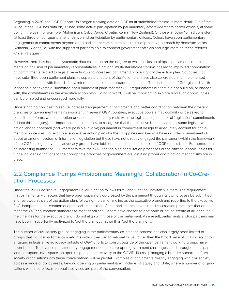Beginning in 2020, the OGP Support Unit began tracking data on OGP multi-stakeholder forums in more detail. Out of the 76 countries OGP has data on, 32 had some active participation by parliamentary actors (Members and/or officials) at some point in the year (for example, Afghanistan, Cabo Verde, Croatia, Kenya, New Zealand). Of those, another 10 had consistent (at least three of four quarters) attendance and participation by parliamentary officers. Others have seen parliamentary engagement in commitments beyond open parliament commitments as result of proactive outreach by domestic actors (Armenia, Nigeria), or with the support of partners able to connect government officials and legislators on these reforms (Chile, Paraguay).

However, there has been no systematic data collection on the degree to which inclusion of open parliament commitments or inclusion of parliamentary representatives in national multi-stakeholder forums has led to improved coordination on commitments related to legislative action, or to increased parliamentary oversight of the action plan. Countries that have submitted open parliament plans as separate chapters of the Action plan have also co-created and implemented those commitments with limited, if any, reference or link to the broader action plan. The parliaments of Georgia and North Macedonia, for example, submitted open parliament plans that met OGP requirements but that did not build on, or engage with, the commitments in the executive action plan. Going forward, it will be important to explore how such opportunities can be enabled and encouraged more fully.

Understanding how best to secure increased engagement of parliaments and better coordination between the different branches of government remains important. In several OGP countries, executive powers may commit - or be asked to commit - to reforms whose adoption or enactment ultimately rests with the legislature (a number of 'legislation' commitments fall into this category). It is important, in those cases, to recognise that the executive branch cannot assume legislative action, and to approach (and where possible involve) parliament in commitment design to adequately account for parliamentary processes. For example, successive action plans for the Philippines and Georgia have included commitments to adopt or amend freedom of information legislation but these have not directly engaged the parliament within the framework of the OGP dialogue, even as advocacy groups have lobbied parliamentarians outside of OGP on this issue. Furthermore, as an increasing number of OGP members take their OGP action plan consultation processes out to citizens, opportunities for funneling ideas or actions to the appropriate branches of government are lost if no proper coordination mechanisms are in place.

#### 2.2 Compliance Trumps Ambition and Meaningful Collaboration in Co-Creation Processes

Under the 2017 Legislative Engagement Policy, function follows form - and function, inevitably, suffers. The requirement that parliamentary chapters that have been separately co-created by the parliament through its own process be submitted and reviewed as part of the action plan, following the same timeline as the executive branch and reporting to the executive PoC, hampers the co-creation of open parliament plans. Some parliaments have rushed co-creation processes that do not meet the OGP co-creation standards to meet deadlines. Others have chosen to postpone or not co-create at all, because the timelines for the executive branch do not align with those of the parliament. As a result, parliaments and/or partners may have been inadvertently motivated to 'get the plan out' rather than 'get the plan right'.

The number of civil society groups engaging in the parliamentary co-creation process has also largely been limited to groups that include parliamentary reforms within their organisational focus, rather than the broad base of civil society actors engaged in legislative advocacy outside of OGP. Efforts to consult outside of the open parliament working groups have been limited. To advance parliamentary engagement on the core open government challenges cited throughout this paper (anti-corruption, civic space, an open response and recovery to the COVID-19 crisis), bringing a broader spectrum of civil society organisations into these conversations will be pivotal. Examples of parliaments already engaging with civil society across a range of policy areas, beyond opening up parliament itself, include Paraguay and Chile, where a number of organisations with a core focus on public services are part of the conversation.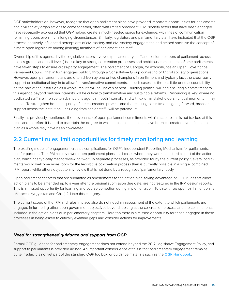OGP stakeholders do, however, recognise that open parliament plans have provided important opportunities for parliaments and civil society organisations to come together, often with limited precedent. Civil society actors that have been engaged have repeatedly expressed that OGP helped create a much-needed space for exchange, with lines of communication remaining open, even in challenging circumstances. Similarly, legislators and parliamentary staff have indicated that the OGP process positively influenced perceptions of civil society and civil society engagement, and helped socialise the concept of a more open legislature among (leading) members of parliament and staff.

Ownership of this agenda by the legislative actors involved (parliamentary staff and senior members of parliament across politics groups and at all levels) is also key to strong co-creation processes and ambitious commitments. Some parliaments have taken steps to ensure cross-party engagement. The parliament of Georgia, for example, has an Open Governance Permanent Council that in turn engages publicly through a Consultative Group consisting of 17 civil society organisations. However, open parliament plans are often driven by one or two champions in parliament and typically lack the cross-party support or institutional buy-in to allow for transformative commitments. In such cases, as there is little or no accountability on the part of the institution as a whole, results will be uneven at best. Building political will and ensuring a commitment to this agenda beyond partisan interests will be critical to transformative and sustainable reforms. Resourcing is key: where no dedicated staff are in place to advance this agenda, - both internally and with external stakeholders - critical momentum may be lost. To strengthen both the quality of the co-creation process and the resulting commitments going forward, broader support across the institution - including from senior staff - will be paramount.

Finally, as previously mentioned, the provenance of open parliament commitments within action plans is not tracked at this time, and therefore it is hard to ascertain the degree to which those commitments have been co-created even if the action plan as a whole may have been co-created.

#### 2.2 Current rules limit opportunities for timely monitoring and learning

The existing model of engagement creates complications for OGP's Independent Reporting Mechanism, for parliaments, and for partners. The IRM has reviewed open parliament plans in all cases where they were submitted as part of the action plan, which has typically meant reviewing two fully separate processes, as provided for by the current policy. Several parliaments would welcome more room for the legislative co-creation process than is currently possible in a single 'combined' IRM report, while others object to any review that is not done by a recognised 'parliamentary' body.

Open parliament chapters that are submitted as amendments to the action plan, taking advantage of OGP rules that allow action plans to be amended up to a year after the original submission due date, are not featured in the IRM design reports. This is a missed opportunity for learning and course correction during implementation. To date, three open parliament plans (Morocco, Kyrgyzstan and Chile) fall into this category.

The current scope of the IRM and rules in place also do not need an assessment of the extent to which parliaments are engaged in furthering other open government objectives beyond looking at the co-creation process and the commitments included in the action plans or in parliamentary chapters. Here too there is a missed opportunity for those engaged in these processes in being asked to critically examine gaps and consider actions for improvements.

#### *Need for strengthened guidance and support from OGP*

Formal OGP guidance for parliamentary engagement does not extend beyond the 2017 Legislative Engagement Policy, and support to parliaments is provided ad hoc. An important consequence of this is that parliamentary engagement remains quite insular. It is not yet part of the standard OGP toolbox, or quidance materials such as the [OGP Handbook](https://www.opengovpartnership.org/documents/ogp-national-handbook/).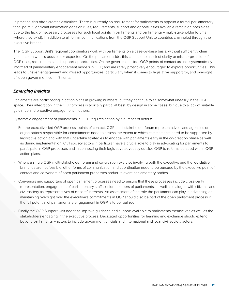In practice, this often creates difficulties. There is currently no requirement for parliaments to appoint a formal parliamentary focal point. Significant information gaps on rules, requirements, support and opportunities available remain on both sides due to the lack of necessary processes for such focal points in parliaments and parliamentary multi-stakeholder forums (where they exist), in addition to all formal communications from the OGP Support Unit to countries channeled through the executive branch.

The OGP Support Unit's regional coordinators work with parliaments on a case-by-base basis, without sufficiently clear guidance on what is possible or expected. On the parliament side, this can lead to a lack of clarity or misinterpretation of OGP rules, requirements and support opportunities. On the government side, OGP points of contact are not systematically informed of parliamentary engagement models in OGP, and are rarely proactively encouraged to explore opportunities. This leads to uneven engagement and missed opportunities, particularly when it comes to legislative support for, and oversight of, open government commitments.

#### *Emerging Insights*

Parliaments are participating in action plans in growing numbers, but they continue to sit somewhat uneasily in the OGP space. Their integration in the OGP process is typically partial at best: by design in some cases, but due to a lack of suitable guidance and proactive engagement in others.

Systematic engagement of parliaments in OGP requires action by a number of actors:

- For the executive-led OGP process, points of contact, OGP multi-stakeholder forum representatives, and agencies or organizations responsible for commitments need to assess the extent to which commitments need to be supported by legislative action and with that undertake strategies to engage with parliaments early in the co-creation phase as well as during implementation. Civil society actors in particular have a crucial role to play in advocating for parliaments to participate in OGP processes and in connecting their legislative advocacy outside OGP to reforms pursued within OGP action plans.
- Where a single OGP multi-stakeholder forum and co-creation exercise involving both the executive and the legislative branches are not feasible, other forms of communication and coordination need to be pursued by the executive point of contact and convenors of open parliament processes and/or relevant parliamentary bodies.
- Convenors and supporters of open parliament processes need to ensure that these processes include cross-party representation, engagement of parliamentary staff, senior members of parliaments, as well as dialogue with citizens, and civil society as representatives of citizens' interests. An assessment of the role the parliament can play in advancing or maintaining oversight over the executive's commitments in OGP should also be part of the open parliament process if the full potential of parliamentary engagement in OGP is to be realized.
- Finally the OGP Support Unit needs to improve guidance and support available to parliaments themselves as well as the stakeholders engaging in the executive process. Dedicated opportunities for learning and exchange should extend beyond parliamentary actors to include government officials and international and local civil society actors.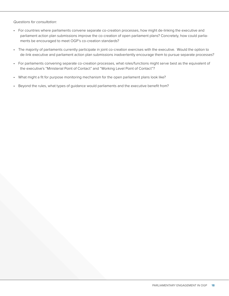*Questions for consultation:*

- For countries where parliaments convene separate co-creation processes, how might de-linking the executive and parliament action plan submissions improve the co-creation of open parliament plans? Concretely, how could parliaments be encouraged to meet OGP's co-creation standards?
- The majority of parliaments currently participate in joint co-creation exercises with the executive. Would the option to de-link executive and parliament action plan submissions inadvertently encourage them to pursue separate processes?
- For parliaments convening separate co-creation processes, what roles/functions might serve best as the equivalent of the executive's "Ministerial Point of Contact" and "Working Level Point of Contact"?
- What might a fit for purpose monitoring mechanism for the open parliament plans look like?
- Beyond the rules, what types of guidance would parliaments and the executive benefit from?